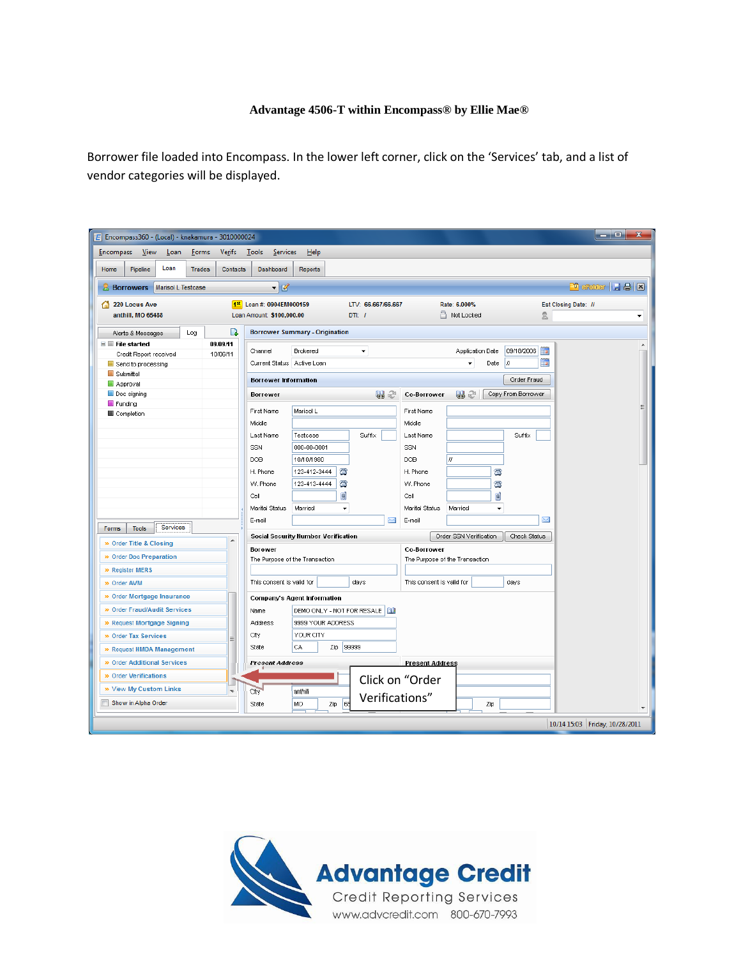## **Advantage 4506-T within Encompass® by Ellie Mae®**

Borrower file loaded into Encompass. In the lower left corner, click on the 'Services' tab, and a list of vendor categories will be displayed.

| $E$ Encompass360 - (Local) - knakamura - 3010000024 |                          |                                                   |                          |                                   | ta 10.<br>$\mathbf{x}$         |
|-----------------------------------------------------|--------------------------|---------------------------------------------------|--------------------------|-----------------------------------|--------------------------------|
| <b>Encompass</b><br>View<br>Loan<br>Forms           | <b>Verifs</b>            | Tools<br>Services<br>Help                         |                          |                                   |                                |
| Loan<br>Home<br>Pipeline<br><b>Trades</b>           | Contacts                 | Dashboard<br>Reports                              |                          |                                   |                                |
|                                                     |                          |                                                   |                          |                                   |                                |
| <b>Marisol L Testcase</b><br><b>Borrowers</b>       |                          | $\blacksquare$                                    |                          |                                   | <b>D</b> state H & <b>B</b>    |
| 220 Locus Ave                                       |                          | 1st Loan #: 0904EM000159                          | LTV: 66.667/66.667       | Rate: 6.000%                      | Est Closing Date: //           |
| anthill, MO 65488                                   |                          | Loan Amount: \$100,000.00<br>DTI: I               |                          | Not Locked                        | 2<br>٠                         |
| Log<br>Alerts & Messages                            | B                        | <b>Borrower Summary - Origination</b>             |                          |                                   |                                |
| $\blacksquare$ File started                         | 09/09/11                 |                                                   |                          |                                   | ۸                              |
| Credit Report received                              | 10/06/11                 | <b>Brokered</b><br>Channel                        | ٠                        | 09/18/2006<br>Application Date    | 前                              |
| Send to processing                                  |                          | Current Status Active Loan                        |                          | IJ<br>Date                        | <b>D</b>                       |
| Submittal<br>Approval                               |                          | <b>Borrower Information</b>                       |                          |                                   | Order Fraud                    |
| Doc signing                                         |                          | <b>Borrower</b>                                   | 82<br><b>Co-Borrower</b> | しょご<br>Copy From Borrower         |                                |
| Funding                                             |                          |                                                   |                          |                                   |                                |
| Completion                                          |                          | <b>First Name</b><br>Marisol L                    | <b>First Name</b>        |                                   |                                |
|                                                     |                          | Middle                                            | Middle                   |                                   |                                |
|                                                     |                          | Last Name<br>Testcase                             | Suffix<br>Last Name      | Suffix                            |                                |
|                                                     |                          | SSN<br>000-00-0001                                | SSN                      |                                   |                                |
|                                                     |                          | DOB<br>10/10/1980                                 | DOB                      | H                                 |                                |
|                                                     |                          | ☎<br>H. Phone<br>123-412-3444                     | H. Phone                 | ø                                 |                                |
|                                                     |                          | 當<br>W. Phone<br>123-413-4444                     | W. Phone                 | $\bar{\alpha}$                    |                                |
|                                                     |                          | d<br>Cell                                         | Cell                     | g                                 |                                |
|                                                     |                          | Marital Status<br>Married<br>$\blacktriangledown$ | Marital Status           | Married<br>$\blacktriangledown$   |                                |
| Services<br><b>Forms</b><br><b>Tools</b>            |                          | E-mail                                            | X<br>E-mail              |                                   | ⊠                              |
| » Order Title & Closing                             | ▲                        | Social Security Number Verification               |                          | Order SSN Verification            | Check Status                   |
|                                                     |                          | <b>Borower</b>                                    | <b>Co-Borrower</b>       |                                   |                                |
| » Order Doc Preparation                             |                          | The Purpose of the Transaction                    |                          | The Purpose of the Transaction    |                                |
| » Register MERS                                     |                          |                                                   |                          |                                   |                                |
| » Order AVM                                         |                          | This consent is valid for                         | days                     | This consent is valid for<br>days |                                |
| » Order Mortgage Insurance                          |                          | Company's Agent Information                       |                          |                                   |                                |
| » Order Fraud/Audit Services                        |                          | DEMO ONLY - NOT FOR RESALE  <br>Name              |                          |                                   |                                |
| » Request Mortgage Signing                          |                          | 9999 YOUR ADDRESS<br>Address                      |                          |                                   |                                |
| » Order Tax Services                                | Ξ                        | YOUR CITY<br>City                                 |                          |                                   |                                |
| » Request HMDA Management                           |                          | 99999<br>State<br>CA<br>Zip                       |                          |                                   |                                |
| » Order Additional Services                         |                          | Present Address                                   | <b>Present Address</b>   |                                   |                                |
| » Order Verifications                               |                          |                                                   | Click on "Order          |                                   |                                |
| » View My Custom Links                              | $\overline{\phantom{a}}$ | City<br>anthill                                   | Verifications"           |                                   |                                |
| Show in Alpha Order                                 |                          | l 65<br>MO<br>Zip<br>State                        |                          | Zip                               |                                |
|                                                     |                          |                                                   |                          |                                   | 10/14 15:03 Friday, 10/28/2011 |
|                                                     |                          |                                                   |                          |                                   |                                |

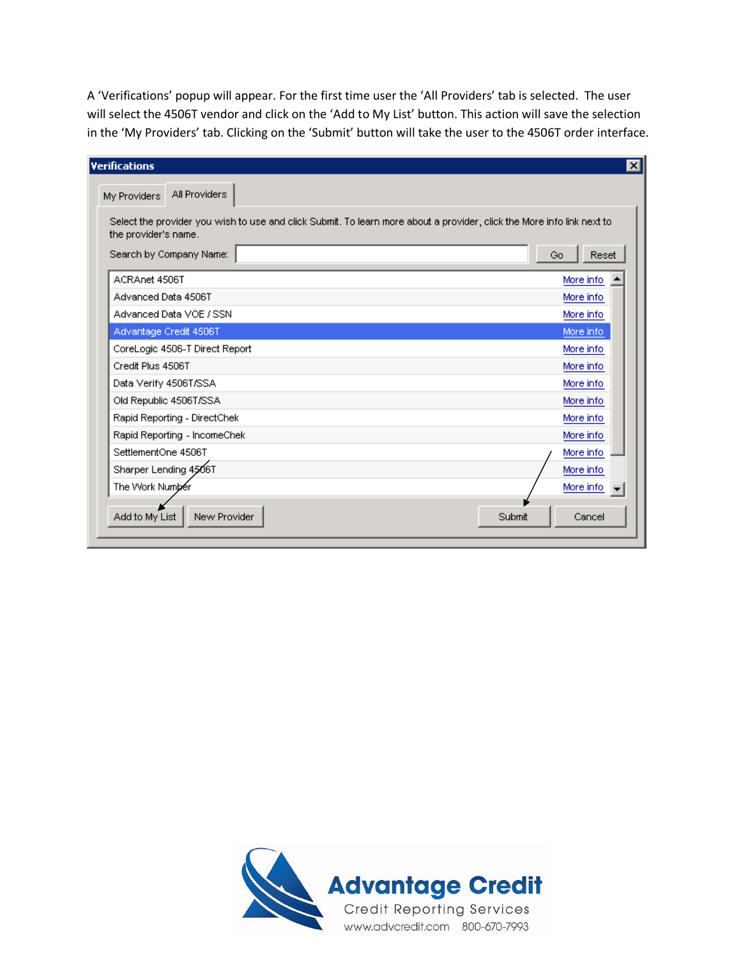A 'Verifications' popup will appear. For the first time user the 'All Providers' tab is selected. The user will select the 4506T vendor and click on the 'Add to My List' button. This action will save the selection in the 'My Providers' tab. Clicking on the 'Submit' button will take the user to the 4506T order interface.

| <b>Verifications</b>                                                                                                                                                      |                  |
|---------------------------------------------------------------------------------------------------------------------------------------------------------------------------|------------------|
| All Providers<br>My Providers                                                                                                                                             |                  |
| Select the provider you wish to use and click Submit. To learn more about a provider, click the More info link next to<br>the provider's name.<br>Search by Company Name: | Reset<br>Go      |
| ACRAnet 4506T                                                                                                                                                             | More info        |
| Advanced Data 4506T                                                                                                                                                       | More info.       |
| Advanced Data VOE / SSN                                                                                                                                                   | More info        |
| Advantage Credit 4506T                                                                                                                                                    | More info.       |
| CoreLogic 4506-T Direct Report                                                                                                                                            | More info        |
| Credit Plus 4506T                                                                                                                                                         | More info.       |
| Data Verify 4506T/SSA                                                                                                                                                     | More info        |
| Old Republic 4506T/SSA                                                                                                                                                    | More info.       |
| Rapid Reporting - DirectChek                                                                                                                                              | More info        |
| Rapid Reporting - IncomeChek                                                                                                                                              | More info        |
| SettlementOne 4506T                                                                                                                                                       | More info        |
| Sharper Lending 4506T                                                                                                                                                     | More info        |
| The Work Number                                                                                                                                                           | More info        |
| New Provider<br>Add to My List                                                                                                                                            | Submit<br>Cancel |

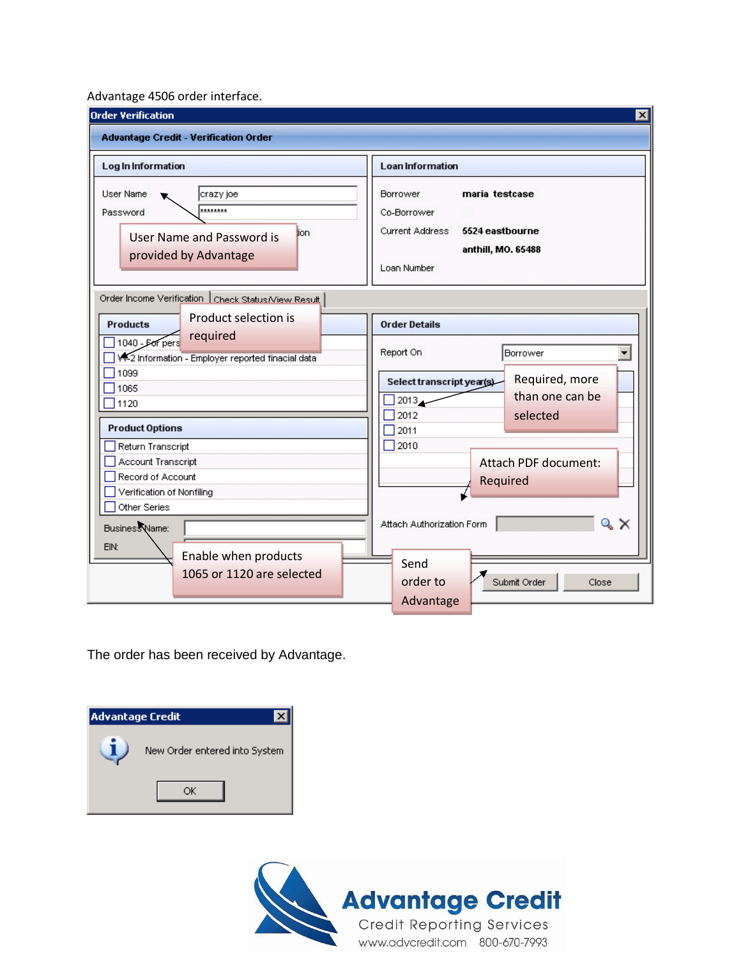## Advantage 4506 order interface.

| <b>Order Verification</b>                                                                                                                                     | $\overline{\mathbf{x}}$                                                                                                          |  |  |  |
|---------------------------------------------------------------------------------------------------------------------------------------------------------------|----------------------------------------------------------------------------------------------------------------------------------|--|--|--|
| <b>Advantage Credit - Verification Order</b>                                                                                                                  |                                                                                                                                  |  |  |  |
| Log In Information                                                                                                                                            | <b>Loan Information</b>                                                                                                          |  |  |  |
| User Name<br> crazy joe<br>********<br>Password<br>lion.<br>User Name and Password is<br>provided by Advantage                                                | maria testcase<br>Borrower<br>Co-Borrower<br>Current Address<br>5524 eastbourne<br>anthill, MO. 65488<br>Loan Number             |  |  |  |
| Order Income Verification   Check Status/View Result<br><b>Product selection is</b><br><b>Products</b>                                                        | <b>Order Details</b>                                                                                                             |  |  |  |
| required<br>1040 - For pers<br>W-2 Information - Employer reported finacial data<br>1099<br>1065<br>1120                                                      | Report On<br>Borrower<br>Required, more<br>Select transcript year(s)<br>than one can be<br>2013 <sub>4</sub><br>2012<br>selected |  |  |  |
| <b>Product Options</b><br>Return Transcript<br>Account Transcript<br>Record of Account<br>Verification of Nonfiling<br>Other Series<br>Business Name:<br>EIN: | 2011<br>2010<br>Attach PDF document:<br>Required<br>$\propto$ $\times$<br>Attach Authorization Form                              |  |  |  |
| Enable when products<br>1065 or 1120 are selected                                                                                                             | Send<br>order to<br>Submit Order<br>Close<br>Advantage                                                                           |  |  |  |

The order has been received by Advantage.

| <b>Advantage Credit</b> |                               |
|-------------------------|-------------------------------|
|                         | New Order entered into System |
|                         |                               |